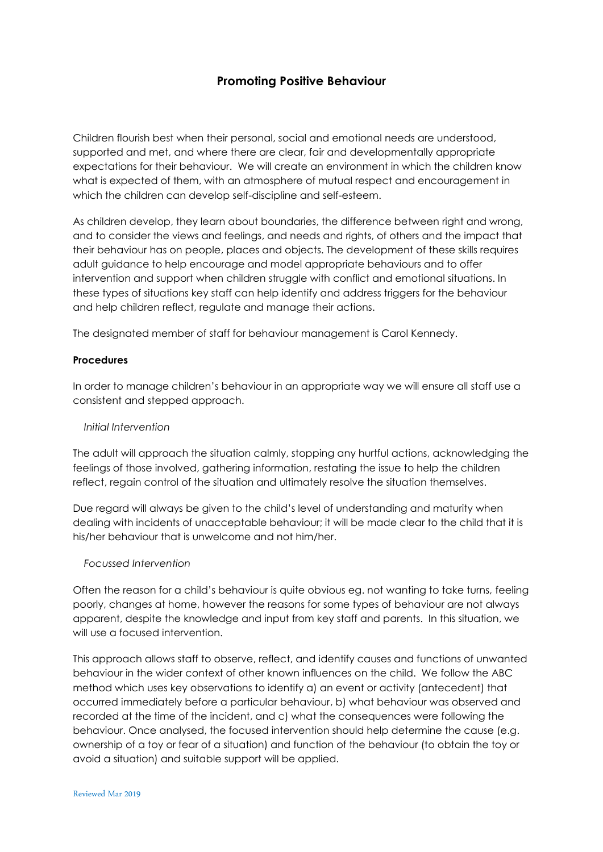# **Promoting Positive Behaviour**

Children flourish best when their personal, social and emotional needs are understood, supported and met, and where there are clear, fair and developmentally appropriate expectations for their behaviour. We will create an environment in which the children know what is expected of them, with an atmosphere of mutual respect and encouragement in which the children can develop self-discipline and self-esteem.

As children develop, they learn about boundaries, the difference between right and wrong, and to consider the views and feelings, and needs and rights, of others and the impact that their behaviour has on people, places and objects. The development of these skills requires adult guidance to help encourage and model appropriate behaviours and to offer intervention and support when children struggle with conflict and emotional situations. In these types of situations key staff can help identify and address triggers for the behaviour and help children reflect, regulate and manage their actions.

The designated member of staff for behaviour management is Carol Kennedy.

### **Procedures**

In order to manage children's behaviour in an appropriate way we will ensure all staff use a consistent and stepped approach.

### *Initial Intervention*

The adult will approach the situation calmly, stopping any hurtful actions, acknowledging the feelings of those involved, gathering information, restating the issue to help the children reflect, regain control of the situation and ultimately resolve the situation themselves.

Due regard will always be given to the child's level of understanding and maturity when dealing with incidents of unacceptable behaviour; it will be made clear to the child that it is his/her behaviour that is unwelcome and not him/her.

### *Focussed Intervention*

Often the reason for a child's behaviour is quite obvious eg. not wanting to take turns, feeling poorly, changes at home, however the reasons for some types of behaviour are not always apparent, despite the knowledge and input from key staff and parents. In this situation, we will use a focused intervention.

This approach allows staff to observe, reflect, and identify causes and functions of unwanted behaviour in the wider context of other known influences on the child. We follow the ABC method which uses key observations to identify a) an event or activity (antecedent) that occurred immediately before a particular behaviour, b) what behaviour was observed and recorded at the time of the incident, and c) what the consequences were following the behaviour. Once analysed, the focused intervention should help determine the cause (e.g. ownership of a toy or fear of a situation) and function of the behaviour (to obtain the toy or avoid a situation) and suitable support will be applied.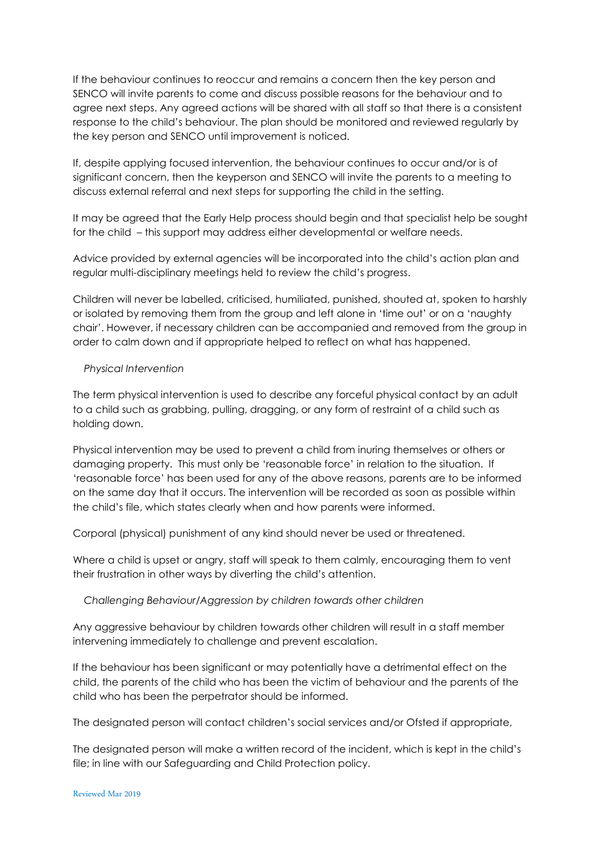If the behaviour continues to reoccur and remains a concern then the key person and SENCO will invite parents to come and discuss possible reasons for the behaviour and to agree next steps. Any agreed actions will be shared with all staff so that there is a consistent response to the child's behaviour. The plan should be monitored and reviewed regularly by the key person and SENCO until improvement is noticed.

If, despite applying focused intervention, the behaviour continues to occur and/or is of significant concern, then the keyperson and SENCO will invite the parents to a meeting to discuss external referral and next steps for supporting the child in the setting.

It may be agreed that the Early Help process should begin and that specialist help be sought for the child – this support may address either developmental or welfare needs.

Advice provided by external agencies will be incorporated into the child's action plan and regular multi-disciplinary meetings held to review the child's progress.

Children will never be labelled, criticised, humiliated, punished, shouted at, spoken to harshly or isolated by removing them from the group and left alone in 'time out' or on a 'naughty chair'. However, if necessary children can be accompanied and removed from the group in order to calm down and if appropriate helped to reflect on what has happened.

## *Physical Intervention*

The term physical intervention is used to describe any forceful physical contact by an adult to a child such as grabbing, pulling, dragging, or any form of restraint of a child such as holding down.

Physical intervention may be used to prevent a child from inuring themselves or others or damaging property. This must only be 'reasonable force' in relation to the situation. If 'reasonable force' has been used for any of the above reasons, parents are to be informed on the same day that it occurs. The intervention will be recorded as soon as possible within the child's file, which states clearly when and how parents were informed.

Corporal (physical) punishment of any kind should never be used or threatened.

Where a child is upset or angry, staff will speak to them calmly, encouraging them to vent their frustration in other ways by diverting the child's attention.

 *Challenging Behaviour/Aggression by children towards other children*

Any aggressive behaviour by children towards other children will result in a staff member intervening immediately to challenge and prevent escalation.

If the behaviour has been significant or may potentially have a detrimental effect on the child, the parents of the child who has been the victim of behaviour and the parents of the child who has been the perpetrator should be informed.

The designated person will contact children's social services and/or Ofsted if appropriate,

The designated person will make a written record of the incident, which is kept in the child's file; in line with our Safeguarding and Child Protection policy.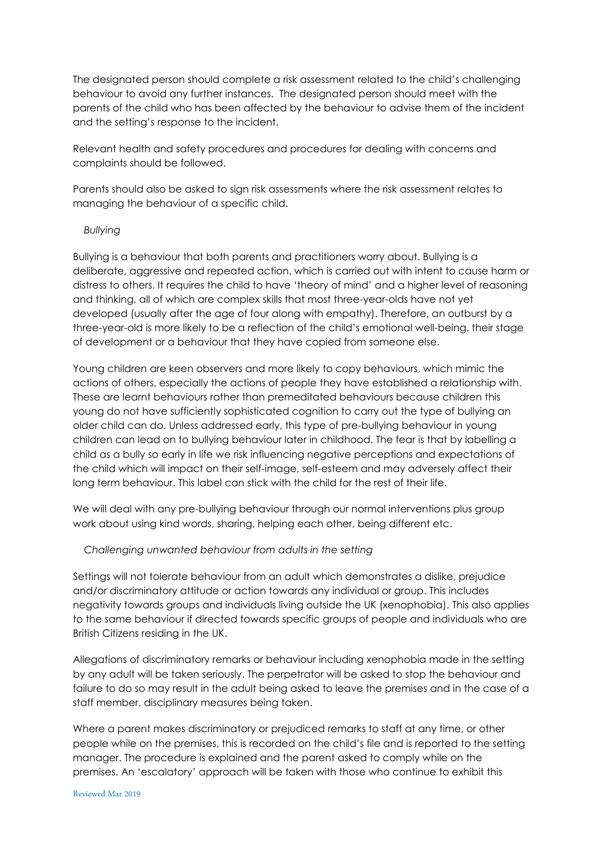The designated person should complete a risk assessment related to the child's challenging behaviour to avoid any further instances. The designated person should meet with the parents of the child who has been affected by the behaviour to advise them of the incident and the setting's response to the incident.

Relevant health and safety procedures and procedures for dealing with concerns and complaints should be followed.

Parents should also be asked to sign risk assessments where the risk assessment relates to managing the behaviour of a specific child.

#### *Bullying*

Bullying is a behaviour that both parents and practitioners worry about. Bullying is a deliberate, aggressive and repeated action, which is carried out with intent to cause harm or distress to others. It requires the child to have 'theory of mind' and a higher level of reasoning and thinking, all of which are complex skills that most three-year-olds have not yet developed (usually after the age of four along with empathy). Therefore, an outburst by a three-year-old is more likely to be a reflection of the child's emotional well-being, their stage of development or a behaviour that they have copied from someone else.

Young children are keen observers and more likely to copy behaviours, which mimic the actions of others, especially the actions of people they have established a relationship with. These are learnt behaviours rather than premeditated behaviours because children this young do not have sufficiently sophisticated cognition to carry out the type of bullying an older child can do. Unless addressed early, this type of pre-bullying behaviour in young children can lead on to bullying behaviour later in childhood. The fear is that by labelling a child as a bully so early in life we risk influencing negative perceptions and expectations of the child which will impact on their self-image, self-esteem and may adversely affect their long term behaviour. This label can stick with the child for the rest of their life.

We will deal with any pre-bullying behaviour through our normal interventions plus group work about using kind words, sharing, helping each other, being different etc.

### *Challenging unwanted behaviour from adults in the setting*

Settings will not tolerate behaviour from an adult which demonstrates a dislike, prejudice and/or discriminatory attitude or action towards any individual or group. This includes negativity towards groups and individuals living outside the UK (xenophobia). This also applies to the same behaviour if directed towards specific groups of people and individuals who are British Citizens residing in the UK.

Allegations of discriminatory remarks or behaviour including xenophobia made in the setting by any adult will be taken seriously. The perpetrator will be asked to stop the behaviour and failure to do so may result in the adult being asked to leave the premises and in the case of a staff member, disciplinary measures being taken.

Where a parent makes discriminatory or prejudiced remarks to staff at any time, or other people while on the premises, this is recorded on the child's file and is reported to the setting manager. The procedure is explained and the parent asked to comply while on the premises. An 'escalatory' approach will be taken with those who continue to exhibit this